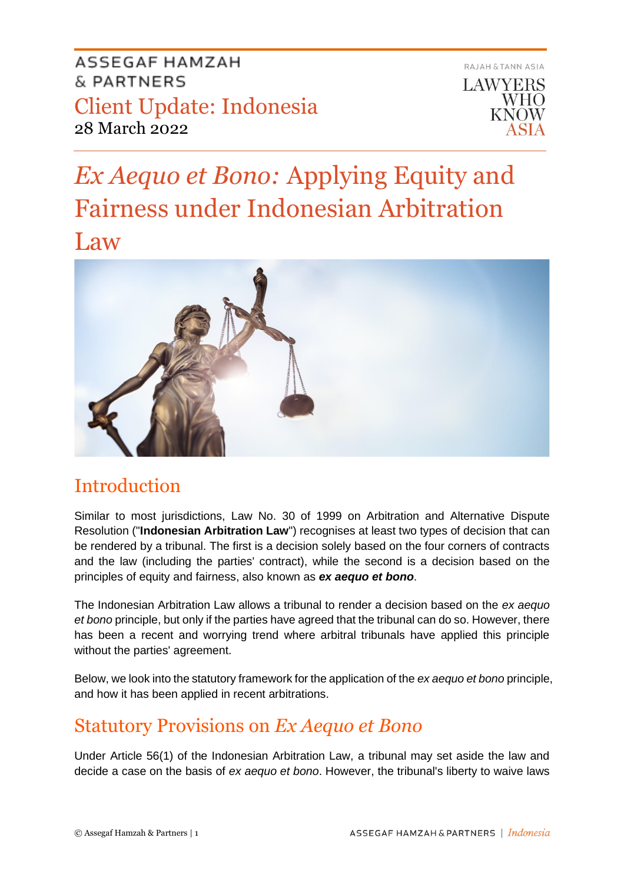

# *Ex Aequo et Bono:* Applying Equity and Fairness under Indonesian Arbitration Law



# Introduction

Similar to most jurisdictions, Law No. 30 of 1999 on Arbitration and Alternative Dispute Resolution ("**Indonesian Arbitration Law**") recognises at least two types of decision that can be rendered by a tribunal. The first is a decision solely based on the four corners of contracts and the law (including the parties' contract), while the second is a decision based on the principles of equity and fairness, also known as *ex aequo et bono*.

The Indonesian Arbitration Law allows a tribunal to render a decision based on the *ex aequo et bono* principle, but only if the parties have agreed that the tribunal can do so. However, there has been a recent and worrying trend where arbitral tribunals have applied this principle without the parties' agreement.

Below, we look into the statutory framework for the application of the *ex aequo et bono* principle, and how it has been applied in recent arbitrations.

# Statutory Provisions on *Ex Aequo et Bono*

Under Article 56(1) of the Indonesian Arbitration Law, a tribunal may set aside the law and decide a case on the basis of *ex aequo et bono*. However, the tribunal's liberty to waive laws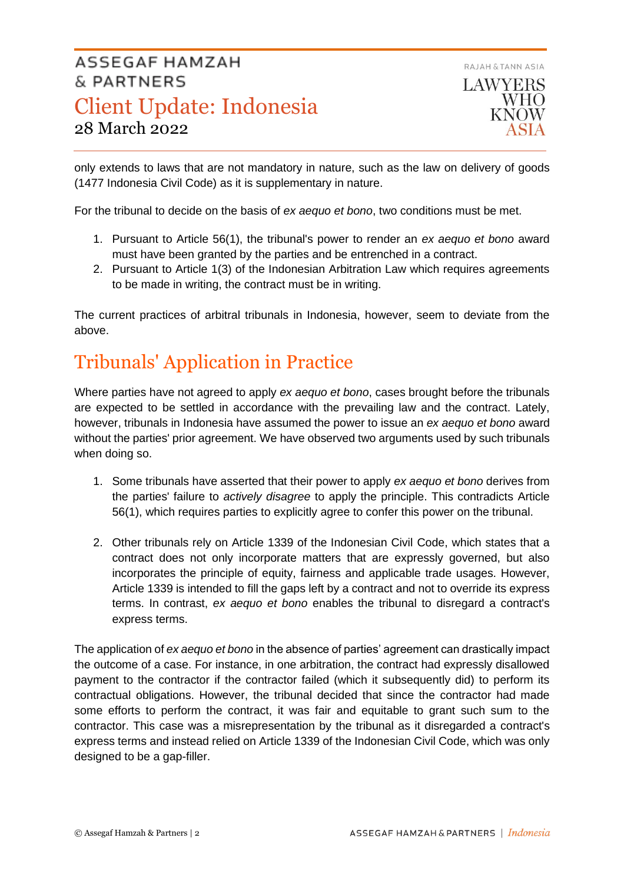

only extends to laws that are not mandatory in nature, such as the law on delivery of goods (1477 Indonesia Civil Code) as it is supplementary in nature.

For the tribunal to decide on the basis of *ex aequo et bono*, two conditions must be met.

- 1. Pursuant to Article 56(1), the tribunal's power to render an *ex aequo et bono* award must have been granted by the parties and be entrenched in a contract.
- 2. Pursuant to Article 1(3) of the Indonesian Arbitration Law which requires agreements to be made in writing, the contract must be in writing.

The current practices of arbitral tribunals in Indonesia, however, seem to deviate from the above.

# Tribunals' Application in Practice

Where parties have not agreed to apply *ex aequo et bono*, cases brought before the tribunals are expected to be settled in accordance with the prevailing law and the contract. Lately, however, tribunals in Indonesia have assumed the power to issue an *ex aequo et bono* award without the parties' prior agreement. We have observed two arguments used by such tribunals when doing so.

- 1. Some tribunals have asserted that their power to apply *ex aequo et bono* derives from the parties' failure to *actively disagree* to apply the principle. This contradicts Article 56(1), which requires parties to explicitly agree to confer this power on the tribunal.
- 2. Other tribunals rely on Article 1339 of the Indonesian Civil Code, which states that a contract does not only incorporate matters that are expressly governed, but also incorporates the principle of equity, fairness and applicable trade usages. However, Article 1339 is intended to fill the gaps left by a contract and not to override its express terms. In contrast, *ex aequo et bono* enables the tribunal to disregard a contract's express terms.

The application of *ex aequo et bono* in the absence of parties' agreement can drastically impact the outcome of a case. For instance, in one arbitration, the contract had expressly disallowed payment to the contractor if the contractor failed (which it subsequently did) to perform its contractual obligations. However, the tribunal decided that since the contractor had made some efforts to perform the contract, it was fair and equitable to grant such sum to the contractor. This case was a misrepresentation by the tribunal as it disregarded a contract's express terms and instead relied on Article 1339 of the Indonesian Civil Code, which was only designed to be a gap-filler.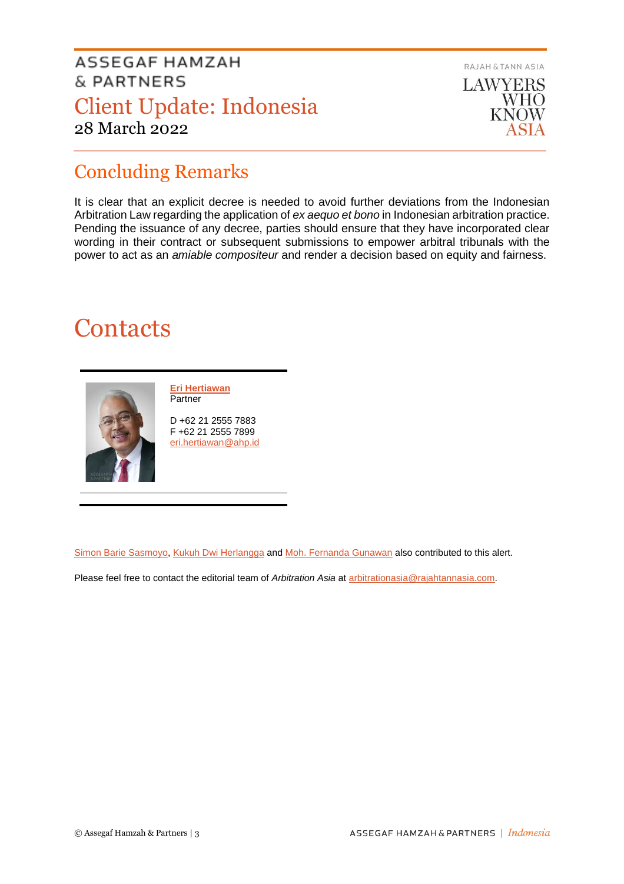

# Concluding Remarks

It is clear that an explicit decree is needed to avoid further deviations from the Indonesian Arbitration Law regarding the application of *ex aequo et bono* in Indonesian arbitration practice. Pending the issuance of any decree, parties should ensure that they have incorporated clear wording in their contract or subsequent submissions to empower arbitral tribunals with the power to act as an *amiable compositeur* and render a decision based on equity and fairness.

# **Contacts**



**[Eri Hertiawan](https://www.ahp.id/eri-hertiawan) Partner** 

D +62 21 2555 7883 F +62 21 2555 7899 [eri.hertiawan@ahp.id](mailto:eri.hertiawan@ahp.id)

[Simon Barie Sasmoyo,](mailto:simon.sasmoyo@ahp.id) [Kukuh Dwi Herlangga](mailto:kukuh.herlangga@ahp.id) and [Moh. Fernanda Gunawan](mailto:fernanda.gunawan@ahp.id) also contributed to this alert.

Please feel free to contact the editorial team of *Arbitration Asia* a[t arbitrationasia@rajahtannasia.com.](mailto:arbitrationasia@rajahtannasia.com)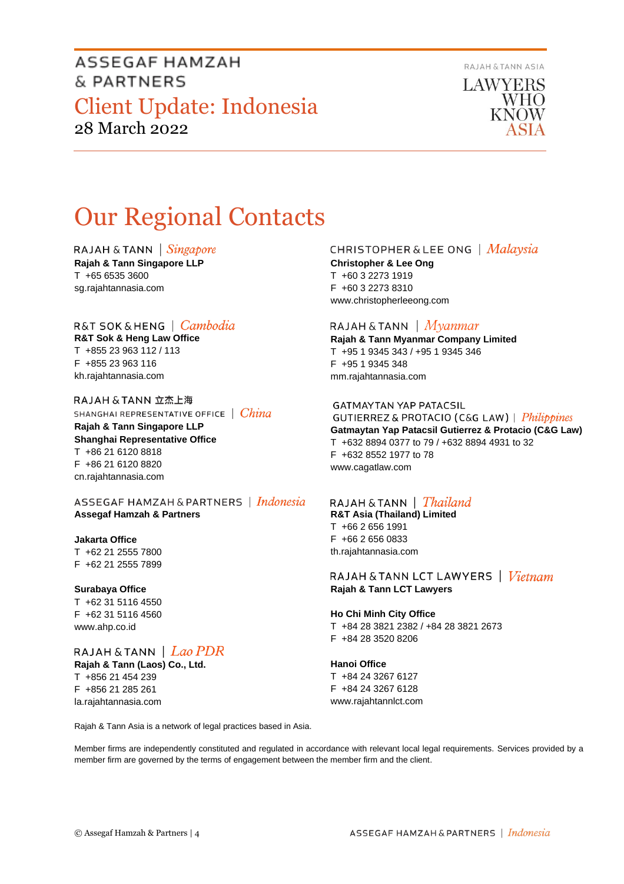RAJAH & TANN ASIA



# Our Regional Contacts

RAJAH & TANN  $\int$  *Singapore* 

**Rajah & Tann Singapore LLP** T +65 6535 3600 sg.rajahtannasia.com

## R&T SOK & HENG | *Cambodia*

**R&T Sok & Heng Law Office** T +855 23 963 112 / 113 F +855 23 963 116 kh.rajahtannasia.com

RAJAH & TANN 立杰上海 SHANGHAI REPRESENTATIVE OFFICE | China **Rajah & Tann Singapore LLP Shanghai Representative Office** T +86 21 6120 8818 F +86 21 6120 8820 cn.rajahtannasia.com

ASSEGAF HAMZAH & PARTNERS | Indonesia **Assegaf Hamzah & Partners**

## **Jakarta Office**

T +62 21 2555 7800 F +62 21 2555 7899

### **Surabaya Office**

T +62 31 5116 4550 F +62 31 5116 4560 www.ahp.co.id

RAJAH & TANN | Lao PDR **Rajah & Tann (Laos) Co., Ltd.** T +856 21 454 239 F +856 21 285 261 la.rajahtannasia.com

### **CHRISTOPHER & LEE ONG** | Malaysia

**Christopher & Lee Ong** T +60 3 2273 1919 F +60 3 2273 8310 www.christopherleeong.com

### RAJAH & TANN  $\mid$  *Myanmar*

**Rajah & Tann Myanmar Company Limited** T +95 1 9345 343 / +95 1 9345 346 F +95 1 9345 348 mm.rajahtannasia.com

### **GATMAYTAN YAP PATACSIL**

GUTIERREZ & PROTACIO (C&G LAW) | Philippines **Gatmaytan Yap Patacsil Gutierrez & Protacio (C&G Law)**  T +632 8894 0377 to 79 / +632 8894 4931 to 32 F +632 8552 1977 to 78 www.cagatlaw.com

## RAJAH & TANN | *Thailand*

**R&T Asia (Thailand) Limited** T +66 2 656 1991 F +66 2 656 0833 th.rajahtannasia.com

RAJAH & TANN LCT LAWYERS | Vietnam **Rajah & Tann LCT Lawyers**

### **Ho Chi Minh City Office**

T +84 28 3821 2382 / +84 28 3821 2673 F +84 28 3520 8206

**Hanoi Office** T +84 24 3267 6127 F +84 24 3267 6128 www.rajahtannlct.com

Rajah & Tann Asia is a network of legal practices based in Asia.

Member firms are independently constituted and regulated in accordance with relevant local legal requirements. Services provided by a member firm are governed by the terms of engagement between the member firm and the client.